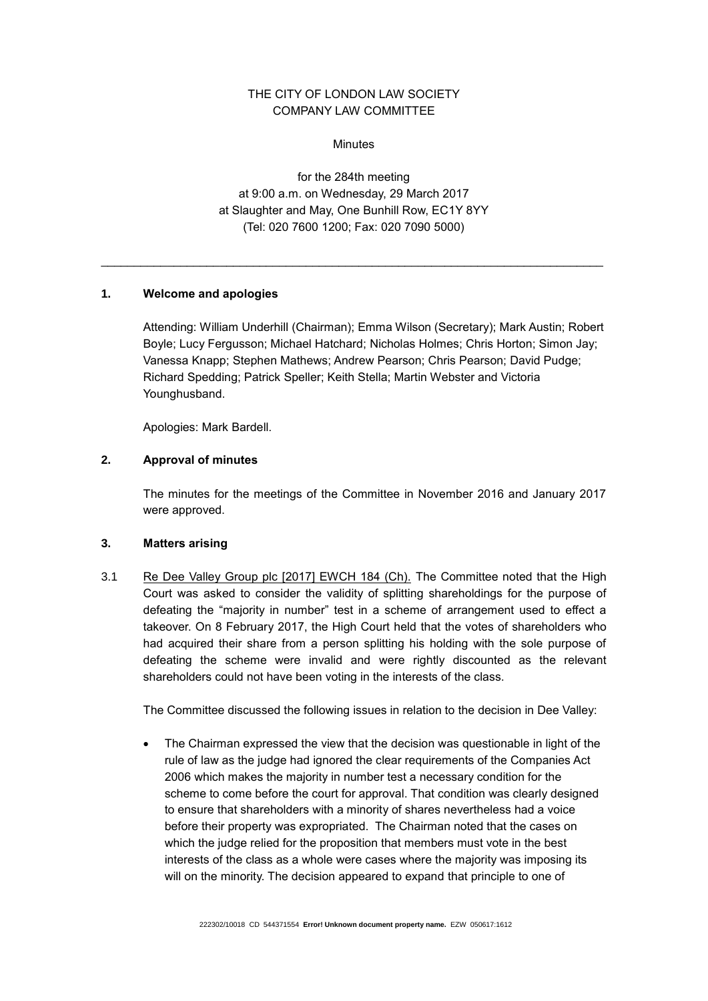# THE CITY OF LONDON LAW SOCIETY COMPANY LAW COMMITTEE

**Minutes** 

for the 284th meeting at 9:00 a.m. on Wednesday, 29 March 2017 at Slaughter and May, One Bunhill Row, EC1Y 8YY (Tel: 020 7600 1200; Fax: 020 7090 5000)

\_\_\_\_\_\_\_\_\_\_\_\_\_\_\_\_\_\_\_\_\_\_\_\_\_\_\_\_\_\_\_\_\_\_\_\_\_\_\_\_\_\_\_\_\_\_\_\_\_\_\_\_\_\_\_\_\_\_\_\_\_\_\_\_\_\_\_\_\_\_\_\_\_\_\_\_

### **1. Welcome and apologies**

Attending: William Underhill (Chairman); Emma Wilson (Secretary); Mark Austin; Robert Boyle; Lucy Fergusson; Michael Hatchard; Nicholas Holmes; Chris Horton; Simon Jay; Vanessa Knapp; Stephen Mathews; Andrew Pearson; Chris Pearson; David Pudge; Richard Spedding; Patrick Speller; Keith Stella; Martin Webster and Victoria Younghusband.

Apologies: Mark Bardell.

## **2. Approval of minutes**

The minutes for the meetings of the Committee in November 2016 and January 2017 were approved.

## **3. Matters arising**

3.1 [Re Dee Valley Group plc \[2017\] EWCH 184 \(Ch\).](http://www.bailii.org/ew/cases/EWHC/Ch/2017/184.html) The Committee noted that the High Court was asked to consider the validity of splitting shareholdings for the purpose of defeating the "majority in number" test in a scheme of arrangement used to effect a takeover. On 8 February 2017, the High Court held that the votes of shareholders who had acquired their share from a person splitting his holding with the sole purpose of defeating the scheme were invalid and were rightly discounted as the relevant shareholders could not have been voting in the interests of the class.

The Committee discussed the following issues in relation to the decision in Dee Valley:

 The Chairman expressed the view that the decision was questionable in light of the rule of law as the judge had ignored the clear requirements of the Companies Act 2006 which makes the majority in number test a necessary condition for the scheme to come before the court for approval. That condition was clearly designed to ensure that shareholders with a minority of shares nevertheless had a voice before their property was expropriated. The Chairman noted that the cases on which the judge relied for the proposition that members must vote in the best interests of the class as a whole were cases where the majority was imposing its will on the minority. The decision appeared to expand that principle to one of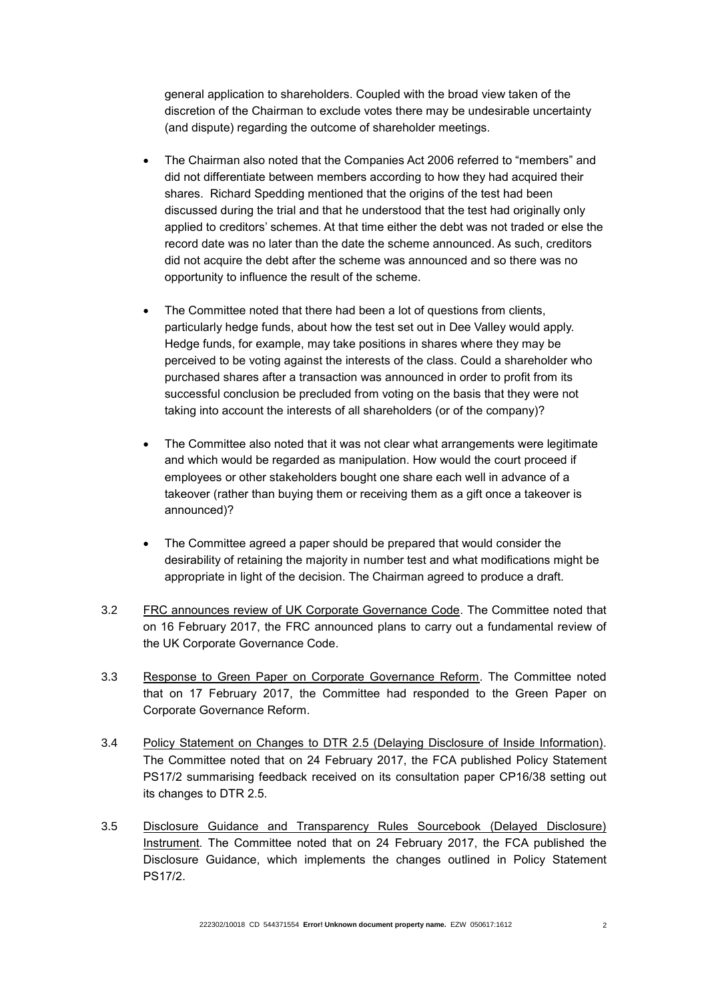general application to shareholders. Coupled with the broad view taken of the discretion of the Chairman to exclude votes there may be undesirable uncertainty (and dispute) regarding the outcome of shareholder meetings.

- The Chairman also noted that the Companies Act 2006 referred to "members" and did not differentiate between members according to how they had acquired their shares. Richard Spedding mentioned that the origins of the test had been discussed during the trial and that he understood that the test had originally only applied to creditors' schemes. At that time either the debt was not traded or else the record date was no later than the date the scheme announced. As such, creditors did not acquire the debt after the scheme was announced and so there was no opportunity to influence the result of the scheme.
- The Committee noted that there had been a lot of questions from clients, particularly hedge funds, about how the test set out in Dee Valley would apply. Hedge funds, for example, may take positions in shares where they may be perceived to be voting against the interests of the class. Could a shareholder who purchased shares after a transaction was announced in order to profit from its successful conclusion be precluded from voting on the basis that they were not taking into account the interests of all shareholders (or of the company)?
- The Committee also noted that it was not clear what arrangements were legitimate and which would be regarded as manipulation. How would the court proceed if employees or other stakeholders bought one share each well in advance of a takeover (rather than buying them or receiving them as a gift once a takeover is announced)?
- The Committee agreed a paper should be prepared that would consider the desirability of retaining the majority in number test and what modifications might be appropriate in light of the decision. The Chairman agreed to produce a draft.
- 3.2 FRC announces review of UK Corporate Governance Code. The Committee noted that on 16 February 2017, the FRC announced plans to carry out a fundamental review of the UK Corporate Governance Code.
- 3.3 Response to Green Paper on Corporate Governance Reform. The Committee noted that on 17 February 2017, the Committee had responded to the Green Paper on Corporate Governance Reform.
- 3.4 Policy Statement on Changes to DTR 2.5 (Delaying Disclosure of Inside Information)*.*  The Committee noted that on 24 February 2017, the FCA published Policy Statement PS17/2 summarising feedback received on its consultation paper CP16/38 setting out its changes to DTR 2.5.
- 3.5 Disclosure Guidance and Transparency Rules Sourcebook (Delayed Disclosure) Instrument*.* The Committee noted that on 24 February 2017, the FCA published the Disclosure Guidance, which implements the changes outlined in Policy Statement PS17/2.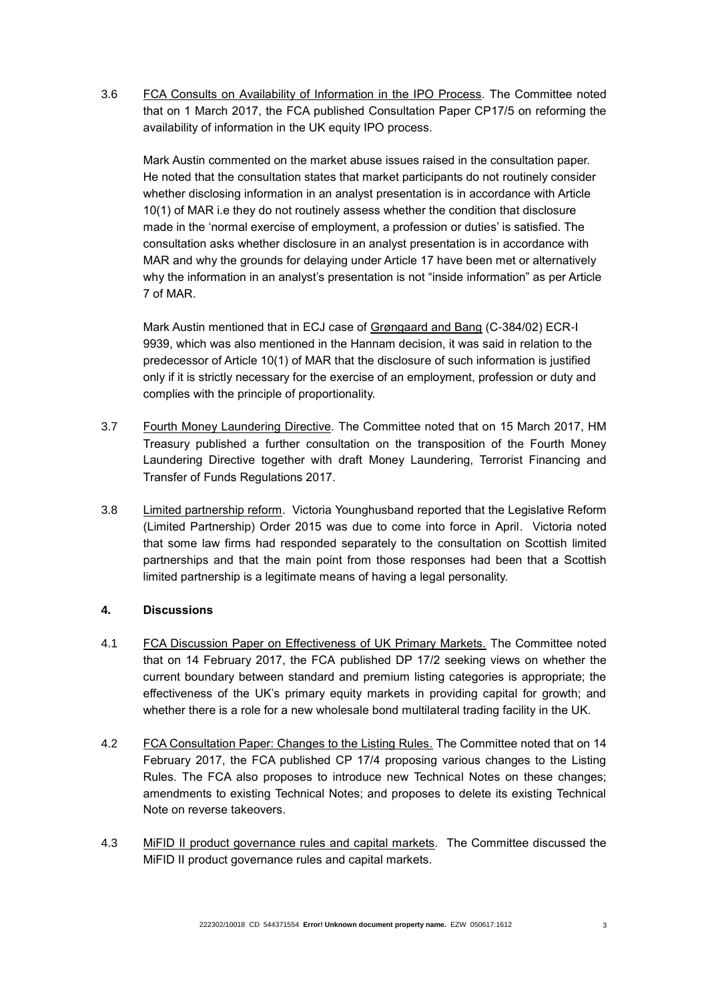3.6 FCA Consults on Availability of Information in the IPO Process*.* The Committee noted that on 1 March 2017, the FCA published Consultation Paper CP17/5 on reforming the availability of information in the UK equity IPO process.

Mark Austin commented on the market abuse issues raised in the consultation paper. He noted that the consultation states that market participants do not routinely consider whether disclosing information in an analyst presentation is in accordance with Article 10(1) of MAR i.e they do not routinely assess whether the condition that disclosure made in the 'normal exercise of employment, a profession or duties' is satisfied. The consultation asks whether disclosure in an analyst presentation is in accordance with MAR and why the grounds for delaying under Article 17 have been met or alternatively why the information in an analyst's presentation is not "inside information" as per Article 7 of MAR.

Mark Austin mentioned that in ECJ case of Grøngaard and Bang (C-384/02) ECR-I 9939, which was also mentioned in the Hannam decision, it was said in relation to the predecessor of Article 10(1) of MAR that the disclosure of such information is justified only if it is strictly necessary for the exercise of an employment, profession or duty and complies with the principle of proportionality.

- 3.7 Fourth Money Laundering Directive*.* The Committee noted that on 15 March 2017, HM Treasury published a further consultation on the transposition of the Fourth Money Laundering Directive together with draft Money Laundering, Terrorist Financing and Transfer of Funds Regulations 2017.
- 3.8 Limited partnership reform. Victoria Younghusband reported that the Legislative Reform (Limited Partnership) Order 2015 was due to come into force in April. Victoria noted that some law firms had responded separately to the consultation on Scottish limited partnerships and that the main point from those responses had been that a Scottish limited partnership is a legitimate means of having a legal personality.

## **4. Discussions**

- 4.1 FCA Discussion Paper on Effectiveness of UK Primary Markets. The Committee noted that on 14 February 2017, the FCA published DP 17/2 seeking views on whether the current boundary between standard and premium listing categories is appropriate; the effectiveness of the UK's primary equity markets in providing capital for growth; and whether there is a role for a new wholesale bond multilateral trading facility in the UK.
- 4.2 FCA Consultation Paper: Changes to the Listing Rules. The Committee noted that on 14 February 2017, the FCA published CP 17/4 proposing various changes to the Listing Rules. The FCA also proposes to introduce new Technical Notes on these changes; amendments to existing Technical Notes; and proposes to delete its existing Technical Note on reverse takeovers.
- 4.3 MiFID II product governance rules and capital markets*.* The Committee discussed the MiFID II product governance rules and capital markets.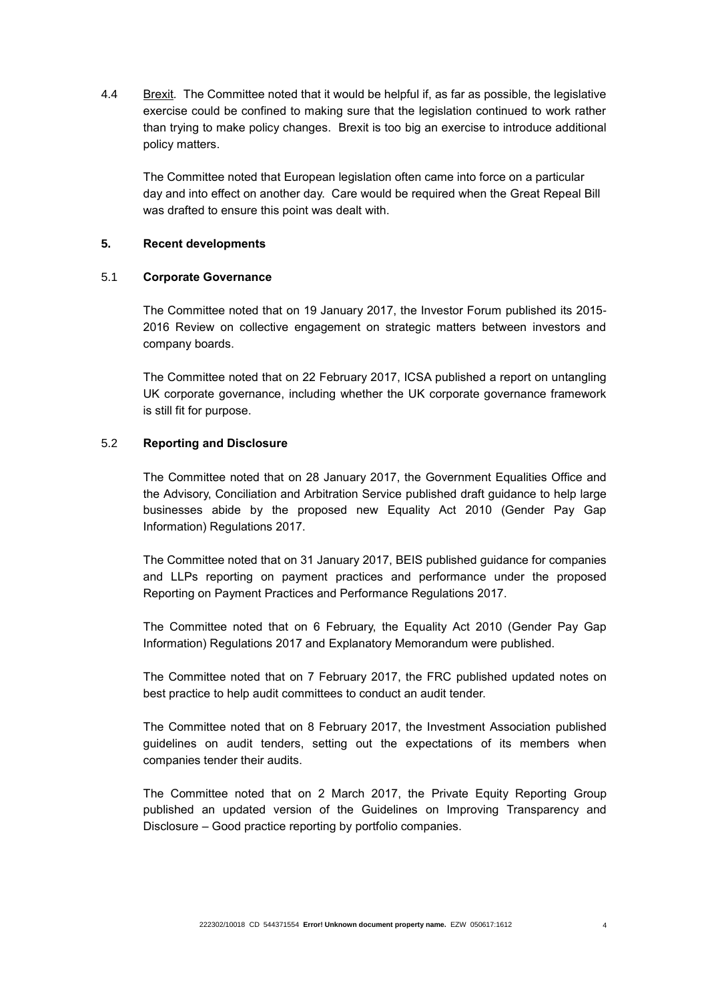4.4 Brexit*.* The Committee noted that it would be helpful if, as far as possible, the legislative exercise could be confined to making sure that the legislation continued to work rather than trying to make policy changes. Brexit is too big an exercise to introduce additional policy matters.

The Committee noted that European legislation often came into force on a particular day and into effect on another day. Care would be required when the Great Repeal Bill was drafted to ensure this point was dealt with.

#### **5. Recent developments**

#### 5.1 **Corporate Governance**

The Committee noted that on 19 January 2017, the Investor Forum published its 2015- 2016 Review on collective engagement on strategic matters between investors and company boards.

The Committee noted that on 22 February 2017, ICSA published a report on untangling UK corporate governance, including whether the UK corporate governance framework is still fit for purpose.

#### 5.2 **Reporting and Disclosure**

The Committee noted that on 28 January 2017, the Government Equalities Office and the Advisory, Conciliation and Arbitration Service published draft guidance to help large businesses abide by the proposed new Equality Act 2010 (Gender Pay Gap Information) Regulations 2017.

The Committee noted that on 31 January 2017, BEIS published [guidance](https://www.gov.uk/government/uploads/system/uploads/attachment_data/file/587465/payment-practices-performance-reporting-requirements.pdf) for companies and LLPs reporting on payment practices and performance under the proposed Reporting on Payment Practices and Performance Regulations 2017.

The Committee noted that on 6 February, the Equality Act 2010 (Gender Pay Gap Information) Regulations 2017 and Explanatory Memorandum were published.

The Committee noted that on 7 February 2017, the FRC published updated notes on best practice to help audit committees to conduct an audit tender.

The Committee noted that on 8 February 2017, the Investment Association published guidelines on audit tenders, setting out the expectations of its members when companies tender their audits.

The Committee noted that on 2 March 2017, the Private Equity Reporting Group published an updated version of the Guidelines on Improving Transparency and Disclosure – Good practice reporting by portfolio companies.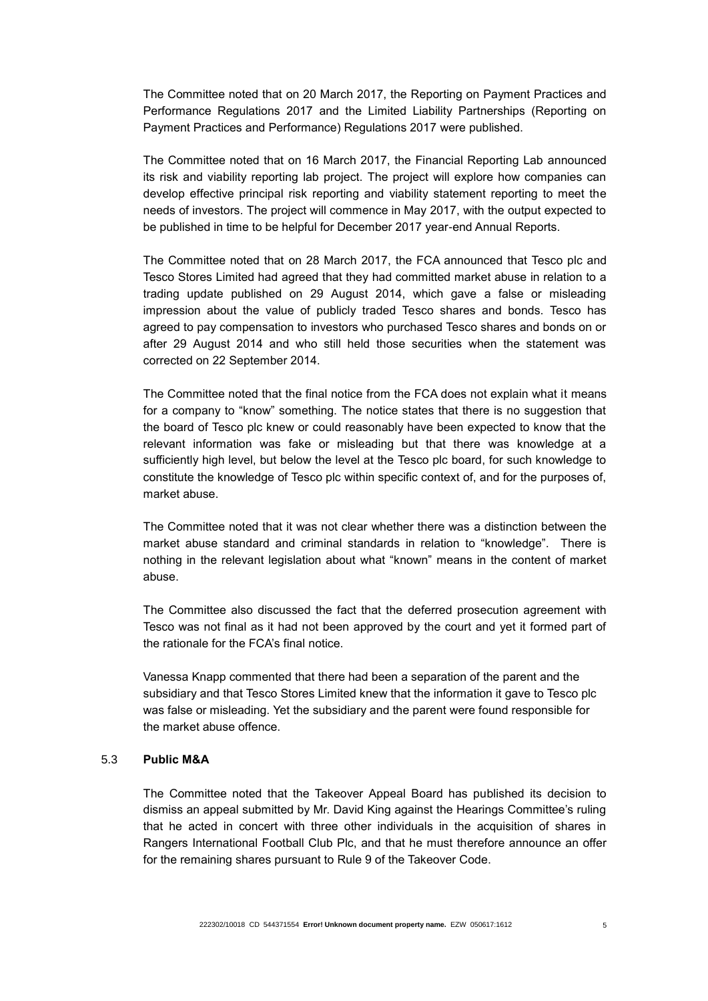The Committee noted that on 20 March 2017, the Reporting on Payment Practices and Performance Regulations 2017 and the Limited Liability Partnerships (Reporting on Payment Practices and Performance) Regulations 2017 were published.

The Committee noted that on 16 March 2017, the Financial Reporting Lab announced its risk and viability reporting lab project. The project will explore how companies can develop effective principal risk reporting and viability statement reporting to meet the needs of investors. The project will commence in May 2017, with the output expected to be published in time to be helpful for December 2017 year-end Annual Reports.

The Committee noted that on 28 March 2017, the FCA announced that Tesco plc and Tesco Stores Limited had agreed that they had committed market abuse in relation to a trading update published on 29 August 2014, which gave a false or misleading impression about the value of publicly traded Tesco shares and bonds. Tesco has agreed to pay compensation to investors who purchased Tesco shares and bonds on or after 29 August 2014 and who still held those securities when the statement was corrected on 22 September 2014.

The Committee noted that the final notice from the FCA does not explain what it means for a company to "know" something. The notice states that there is no suggestion that the board of Tesco plc knew or could reasonably have been expected to know that the relevant information was fake or misleading but that there was knowledge at a sufficiently high level, but below the level at the Tesco plc board, for such knowledge to constitute the knowledge of Tesco plc within specific context of, and for the purposes of, market abuse.

The Committee noted that it was not clear whether there was a distinction between the market abuse standard and criminal standards in relation to "knowledge". There is nothing in the relevant legislation about what "known" means in the content of market abuse.

The Committee also discussed the fact that the deferred prosecution agreement with Tesco was not final as it had not been approved by the court and yet it formed part of the rationale for the FCA's final notice.

Vanessa Knapp commented that there had been a separation of the parent and the subsidiary and that Tesco Stores Limited knew that the information it gave to Tesco plc was false or misleading. Yet the subsidiary and the parent were found responsible for the market abuse offence.

## 5.3 **Public M&A**

The Committee noted that the Takeover Appeal Board has published its decision to dismiss an appeal submitted by Mr. David King against the Hearings Committee's ruling that he acted in concert with three other individuals in the acquisition of shares in Rangers International Football Club Plc, and that he must therefore announce an offer for the remaining shares pursuant to Rule 9 of the Takeover Code.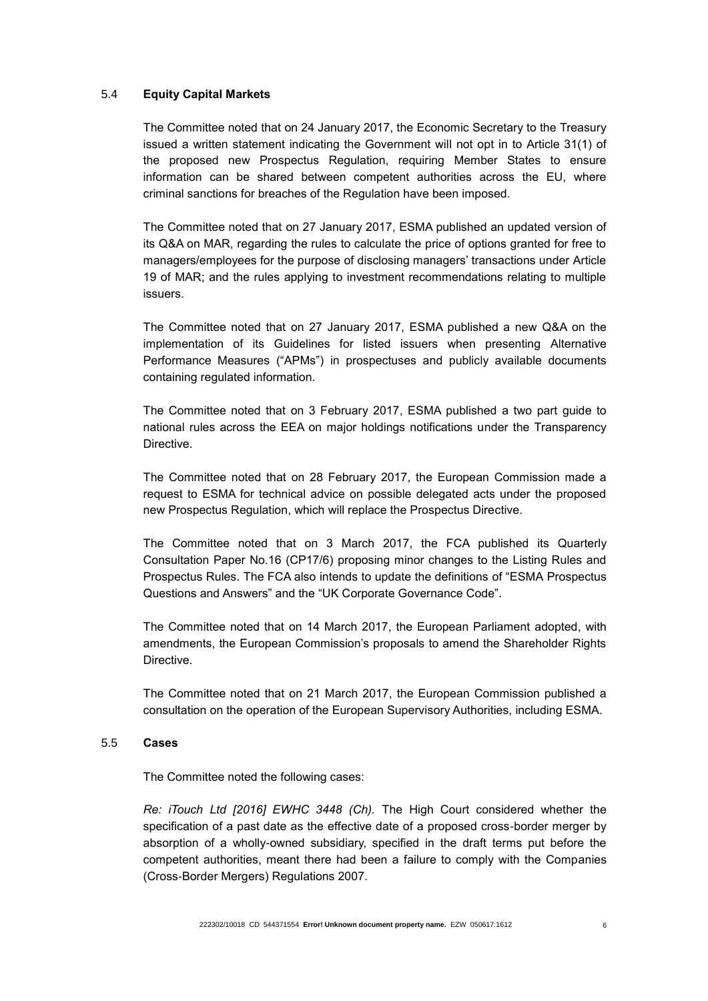#### 5.4 **Equity Capital Markets**

The Committee noted that on 24 January 2017, the Economic Secretary to the Treasury issued a written statement indicating the Government will not opt in to Article 31(1) of the proposed new Prospectus Regulation, requiring Member States to ensure information can be shared between competent authorities across the EU, where criminal sanctions for breaches of the Regulation have been imposed.

The Committee noted that on 27 January 2017, ESMA published an updated version of its Q&A on MAR, regarding the rules to calculate the price of options granted for free to managers/employees for the purpose of disclosing managers' transactions under Article 19 of MAR; and the rules applying to investment recommendations relating to multiple issuers.

The Committee noted that on 27 January 2017, ESMA published a new Q&A on the implementation of its Guidelines for listed issuers when presenting Alternative Performance Measures ("APMs") in prospectuses and publicly available documents containing regulated information.

The Committee noted that on 3 February 2017, ESMA published a two part guide to national rules across the EEA on major holdings notifications under the Transparency Directive.

The Committee noted that on 28 February 2017, the European Commission made a request to ESMA for technical advice on possible delegated acts under the proposed new Prospectus Regulation, which will replace the Prospectus Directive.

The Committee noted that on 3 March 2017, the FCA published its Quarterly Consultation Paper No.16 (CP17/6) proposing minor changes to the Listing Rules and Prospectus Rules. The FCA also intends to update the definitions of "ESMA Prospectus Questions and Answers" and the "UK Corporate Governance Code".

The Committee noted that on 14 March 2017, the European Parliament adopted, with amendments, the European Commission's proposals to amend the Shareholder Rights Directive.

The Committee noted that on 21 March 2017, the European Commission published a consultation on the operation of the European Supervisory Authorities, including ESMA.

#### 5.5 **Cases**

The Committee noted the following cases:

*Re: iTouch Ltd [2016] EWHC 3448 (Ch).* The High Court considered whether the specification of a past date as the effective date of a proposed cross-border merger by absorption of a wholly-owned subsidiary, specified in the draft terms put before the competent authorities, meant there had been a failure to comply with the Companies (Cross-Border Mergers) Regulations 2007.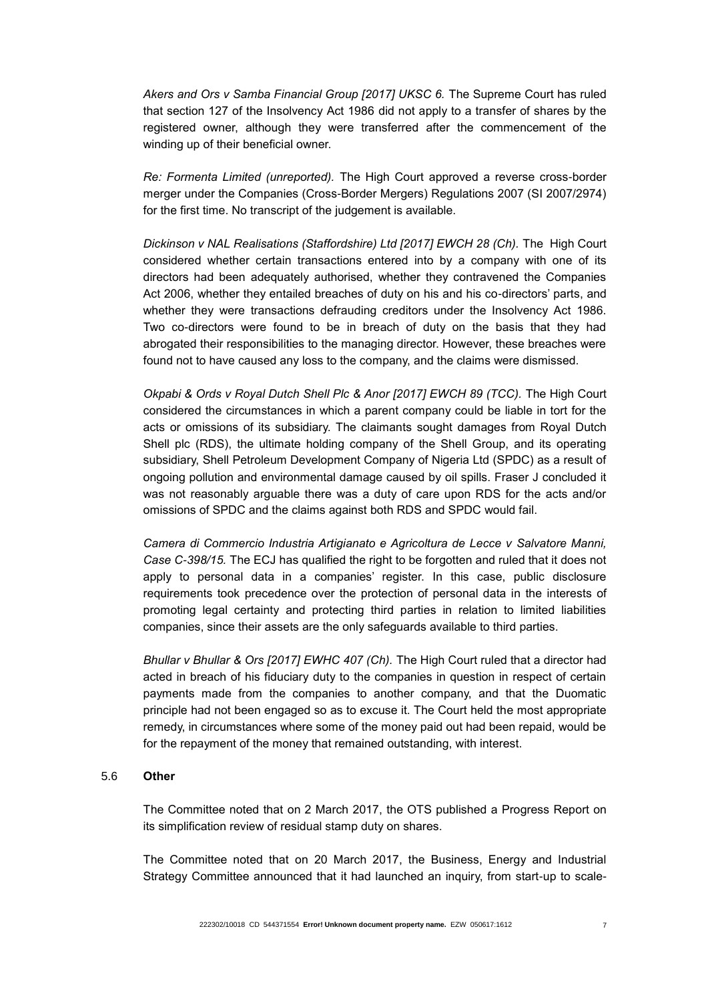*[Akers and Ors v Samba Financial Group \[2017\] UKSC 6.](https://www.supremecourt.uk/cases/docs/uksc-2015-0009-judgment.pdf)* The Supreme Court has ruled that section 127 of the Insolvency Act 1986 did not apply to a transfer of shares by the registered owner, although they were transferred after the commencement of the winding up of their beneficial owner.

*Re: Formenta Limited (unreported).* The High Court approved a reverse cross-border merger under the Companies (Cross-Border Mergers) Regulations 2007 (SI 2007/2974) for the first time. No transcript of the judgement is available.

*Dickinson v NAL Realisations (Staffordshire) Ltd [2017] EWCH 28 (Ch).* The High Court considered whether certain transactions entered into by a company with one of its directors had been adequately authorised, whether they contravened the Companies Act 2006, whether they entailed breaches of duty on his and his co-directors' parts, and whether they were transactions defrauding creditors under the Insolvency Act 1986. Two co-directors were found to be in breach of duty on the basis that they had abrogated their responsibilities to the managing director. However, these breaches were found not to have caused any loss to the company, and the claims were dismissed.

*Okpabi & Ords v Royal Dutch Shell Plc & Anor [2017] EWCH 89 (TCC).* The High Court considered the circumstances in which a parent company could be liable in tort for the acts or omissions of its subsidiary. The claimants sought damages from Royal Dutch Shell plc (RDS), the ultimate holding company of the Shell Group, and its operating subsidiary, Shell Petroleum Development Company of Nigeria Ltd (SPDC) as a result of ongoing pollution and environmental damage caused by oil spills. Fraser J concluded it was not reasonably arguable there was a duty of care upon RDS for the acts and/or omissions of SPDC and the claims against both RDS and SPDC would fail.

*Camera di Commercio Industria Artigianato e Agricoltura de Lecce v Salvatore Manni, Case C-398/15.* The ECJ has qualified the right to be forgotten and ruled that it does not apply to personal data in a companies' register. In this case, public disclosure requirements took precedence over the protection of personal data in the interests of promoting legal certainty and protecting third parties in relation to limited liabilities companies, since their assets are the only safeguards available to third parties.

*Bhullar v Bhullar & Ors [2017] EWHC 407 (Ch).* The High Court ruled that a director had acted in breach of his fiduciary duty to the companies in question in respect of certain payments made from the companies to another company, and that the Duomatic principle had not been engaged so as to excuse it. The Court held the most appropriate remedy, in circumstances where some of the money paid out had been repaid, would be for the repayment of the money that remained outstanding, with interest.

### 5.6 **Other**

The Committee noted that on 2 March 2017, the OTS published a Progress Report on its simplification review of residual stamp duty on shares.

The Committee noted that on 20 March 2017, the Business, Energy and Industrial Strategy Committee announced that it had launched an inquiry, from start-up to scale